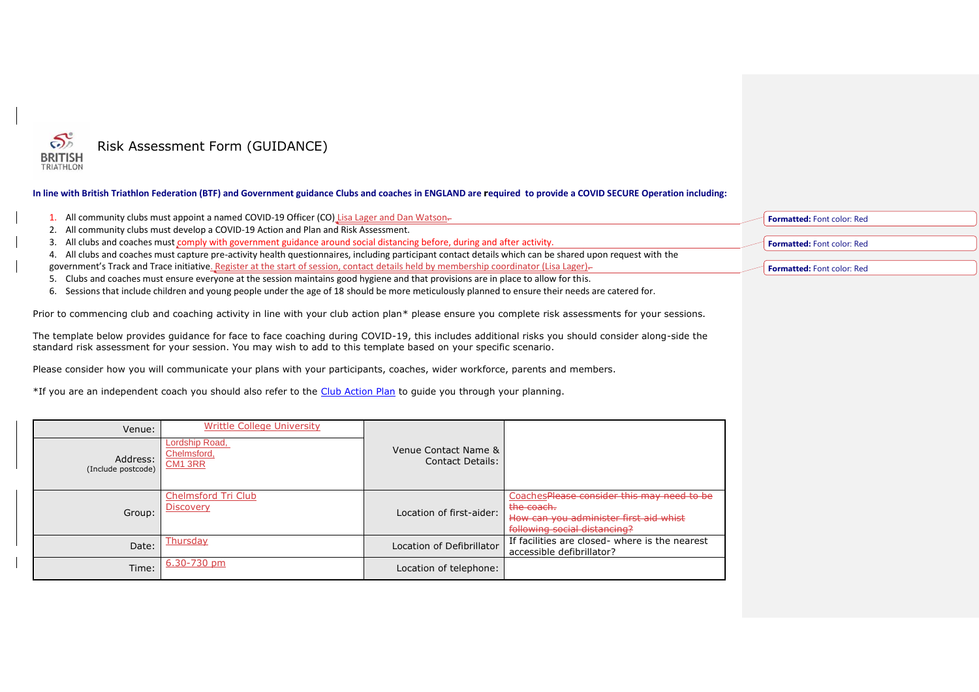

## **In line with British Triathlon Federation (BTF) and Government guidance Clubs and coaches in ENGLAND are required to provide a COVID SECURE Operation including:**

- 1. All community clubs must appoint a named COVID-19 Officer (CO) Lisa Lager and Dan Watson.
- 2. All community clubs must develop a COVID-19 Action and Plan and Risk Assessment.
- 3. All clubs and coaches must comply with government guidance around social distancing before, during and after activity.
- 4. All clubs and coaches must capture pre-activity health questionnaires, including participant contact details which can be shared upon request with the government's Track and Trace initiative. Register at the start of session, contact details held by membership coordinator (Lisa Lager)-
- 5. Clubs and coaches must ensure everyone at the session maintains good hygiene and that provisions are in place to allow for this.
- 6. Sessions that include children and young people under the age of 18 should be more meticulously planned to ensure their needs are catered for.

Prior to commencing club and coaching activity in line with your club action plan\* please ensure you complete risk assessments for your sessions.

The template below provides guidance for face to face coaching during COVID-19, this includes additional risks you should consider along-side the standard risk assessment for your session. You may wish to add to this template based on your specific scenario.

Please consider how you will communicate your plans with your participants, coaches, wider workforce, parents and members.

\*If you are an independent coach you should also refer to the [Club Action Plan](https://www.triathlonengland.org/resources/club-information/templates-and-guidance) to guide you through your planning.

| Venue:                         | Writtle College University                           |                                          |                                                                                                                                    |
|--------------------------------|------------------------------------------------------|------------------------------------------|------------------------------------------------------------------------------------------------------------------------------------|
| Address:<br>(Include postcode) | Lordship Road,<br>Chelmsford,<br>CM <sub>1</sub> 3RR | Venue Contact Name &<br>Contact Details: |                                                                                                                                    |
| Group:                         | Chelmsford Tri Club<br><u>Discovery</u>              | Location of first-aider:                 | CoachesPlease consider this may need to be<br>the coach.<br>How can you administer first aid whist<br>following social distancing? |
| Date:                          | Thursdav                                             | Location of Defibrillator                | If facilities are closed- where is the nearest<br>accessible defibrillator?                                                        |
| Time:                          | 6.30-730 pm                                          | Location of telephone:                   |                                                                                                                                    |

|  | <b>Formatted:</b> Font color: Red |  |  |
|--|-----------------------------------|--|--|
|--|-----------------------------------|--|--|

**Formatted:** Font color: Red

**Formatted:** Font color: Red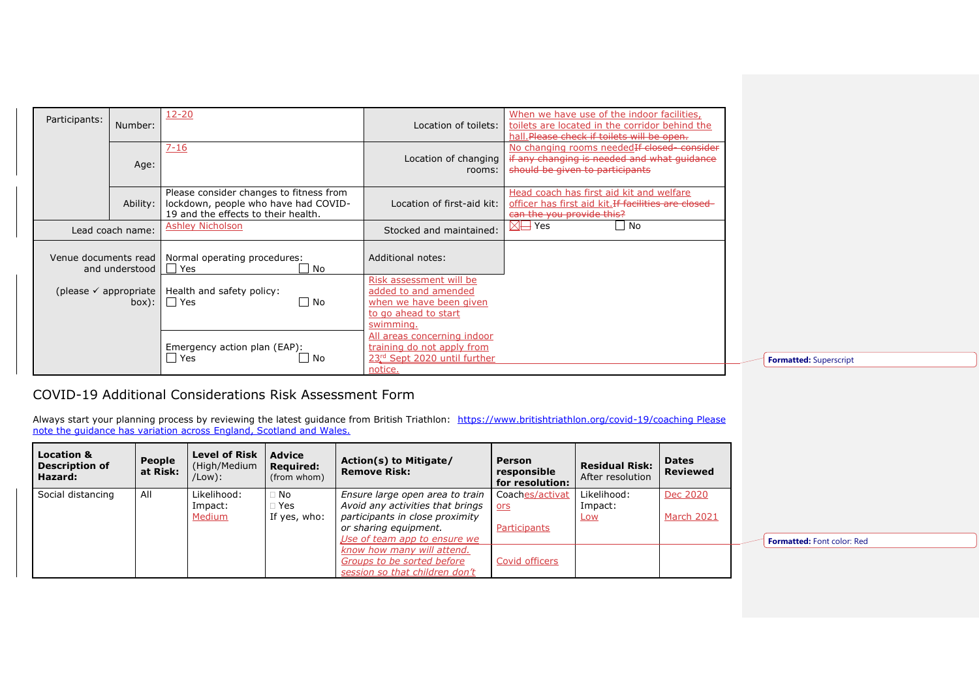| Participants:        | Number:          | $12 - 20$                                                                                                              | Location of toilets:                                                                                            | When we have use of the indoor facilities,<br>toilets are located in the corridor behind the<br>hall. Please check if toilets will be open. |
|----------------------|------------------|------------------------------------------------------------------------------------------------------------------------|-----------------------------------------------------------------------------------------------------------------|---------------------------------------------------------------------------------------------------------------------------------------------|
|                      | Age:             | $7 - 16$                                                                                                               | Location of changing<br>rooms:                                                                                  | No changing rooms needed If closed consider<br>if any changing is needed and what guidance<br>should be given to participants               |
|                      | Ability:         | Please consider changes to fitness from<br>lockdown, people who have had COVID-<br>19 and the effects to their health. | Location of first-aid kit:                                                                                      | Head coach has first aid kit and welfare<br>officer has first aid kit. If facilities are closed-<br>can the you provide this?               |
|                      | Lead coach name: | Ashley Nicholson                                                                                                       | Stocked and maintained:                                                                                         | $\boxtimes \rightarrow$ Yes<br>No                                                                                                           |
| Venue documents read | and understood   | Normal operating procedures:<br>l l Yes<br>∐ No                                                                        | Additional notes:                                                                                               |                                                                                                                                             |
|                      | box):            | (please $\checkmark$ appropriate   Health and safety policy:<br>l l Yes<br>No.                                         | Risk assessment will be<br>added to and amended<br>when we have been given<br>to go ahead to start<br>swimming. |                                                                                                                                             |
|                      |                  | Emergency action plan (EAP):<br>$\Box$ Yes<br>. No                                                                     | <u>All areas concerning indoor</u><br>training do not apply from<br>23rd Sept 2020 until further<br>notice.     |                                                                                                                                             |

**Formatted:** Superscript

## COVID-19 Additional Considerations Risk Assessment Form

Always start your planning process by reviewing the latest guidance from British Triathlon: <https://www.britishtriathlon.org/covid-19/coaching> Please note the guidance has variation across England, Scotland and Wales.

| <b>Location &amp;</b><br><b>Description of</b><br>Hazard: | People<br>at Risk: | <b>Level of Risk</b><br>(High/Medium<br>/Low): | <b>Advice</b><br><b>Required:</b><br>(from whom) | Action(s) to Mitigate/<br><b>Remove Risk:</b>                                                                                   | Person<br>responsible<br>for resolution:      | <b>Residual Risk:</b><br>After resolution | <b>Dates</b><br><b>Reviewed</b> |
|-----------------------------------------------------------|--------------------|------------------------------------------------|--------------------------------------------------|---------------------------------------------------------------------------------------------------------------------------------|-----------------------------------------------|-------------------------------------------|---------------------------------|
| Social distancing                                         | All                | Likelihood:<br>Impact:<br>Medium               | $\Box$ No<br>$\Box$ Yes<br>If yes, who:          | Ensure large open area to train<br>Avoid any activities that brings<br>participants in close proximity<br>or sharing equipment. | Coaches/activat<br><u>ors</u><br>Participants | Likelihood:<br>Impact:<br><b>Low</b>      | Dec 2020<br>March 2021          |
|                                                           |                    |                                                |                                                  | Use of team app to ensure we<br>know how many will attend.<br>Groups to be sorted before<br>session so that children don't      | Covid officers                                |                                           |                                 |

**Formatted:** Font color: Red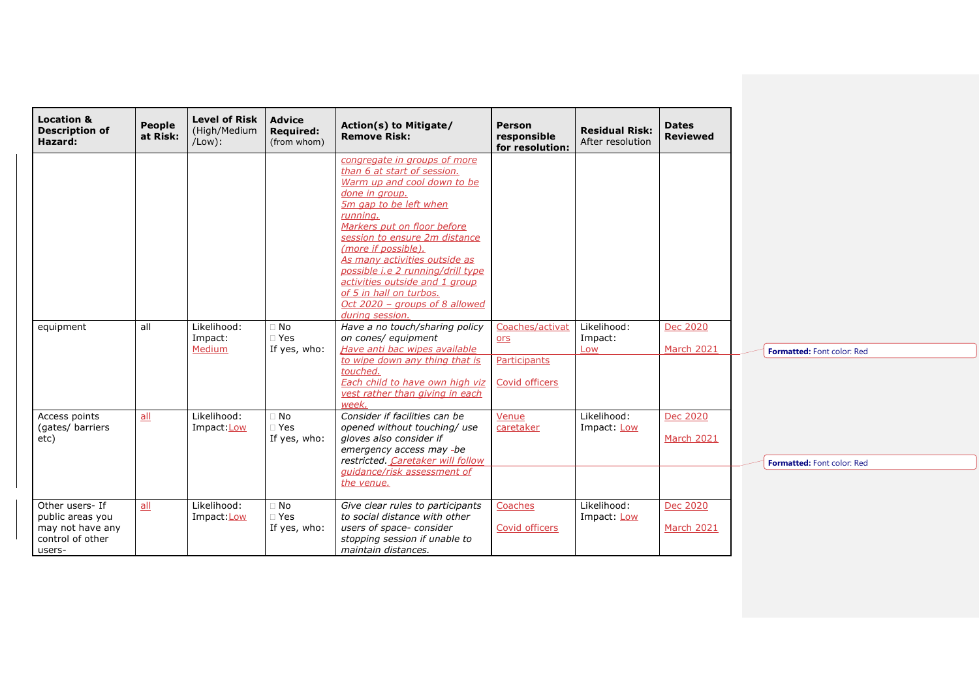| <b>Location &amp;</b><br><b>Description of</b><br>Hazard:                             | <b>People</b><br>at Risk: | <b>Level of Risk</b><br>(High/Medium<br>$/$ Low $)$ : | <b>Advice</b><br><b>Required:</b><br>(from whom) | Action(s) to Mitigate/<br><b>Remove Risk:</b>                                                                                                                                                                                                                                                                                                                                | <b>Person</b><br>responsible<br>for resolution: | <b>Residual Risk:</b><br>After resolution | <b>Dates</b><br><b>Reviewed</b> |
|---------------------------------------------------------------------------------------|---------------------------|-------------------------------------------------------|--------------------------------------------------|------------------------------------------------------------------------------------------------------------------------------------------------------------------------------------------------------------------------------------------------------------------------------------------------------------------------------------------------------------------------------|-------------------------------------------------|-------------------------------------------|---------------------------------|
|                                                                                       |                           |                                                       |                                                  | congregate in groups of more<br>than 6 at start of session.<br>Warm up and cool down to be<br>done in group.<br>5m gap to be left when<br>running.<br>Markers put on floor before<br>session to ensure 2m distance<br>(more if possible).<br>As many activities outside as<br>possible i.e 2 running/drill type<br>activities outside and 1 group<br>of 5 in hall on turbos. |                                                 |                                           |                                 |
| equipment                                                                             | all                       | Likelihood:<br>Impact:<br>Medium                      | $\Box$ No<br>$\square$ Yes<br>If yes, who:       | Oct 2020 - groups of 8 allowed<br>during session.<br>Have a no touch/sharing policy<br>on cones/ equipment<br>Have anti bac wipes available                                                                                                                                                                                                                                  | Coaches/activat<br>ors                          | Likelihood:<br>Impact:<br>Low             | Dec 2020<br>March 2021          |
|                                                                                       |                           | Likelihood:                                           | $\Box$ No                                        | to wipe down any thing that is<br>touched.<br>Each child to have own high viz<br>vest rather than giving in each<br>week.<br>Consider if facilities can be                                                                                                                                                                                                                   | Participants<br>Covid officers<br>Venue         | Likelihood:                               | Dec 2020                        |
| Access points<br>(gates/ barriers<br>etc)                                             | all                       | Impact: Low                                           | $\Box$ Yes<br>If yes, who:                       | opened without touching/ use<br>gloves also consider if<br>emergency access may -be<br>restricted. Caretaker will follow<br>quidance/risk assessment of<br>the venue.                                                                                                                                                                                                        | caretaker                                       | Impact: Low                               | March 2021                      |
| Other users- If<br>public areas you<br>may not have any<br>control of other<br>users- | all                       | Likelihood:<br>Impact: Low                            | $\Box$ No<br>$\Box$ Yes<br>If yes, who:          | Give clear rules to participants<br>to social distance with other<br>users of space- consider<br>stopping session if unable to<br>maintain distances.                                                                                                                                                                                                                        | Coaches<br>Covid officers                       | Likelihood:<br>Impact: Low                | Dec 2020<br>March 2021          |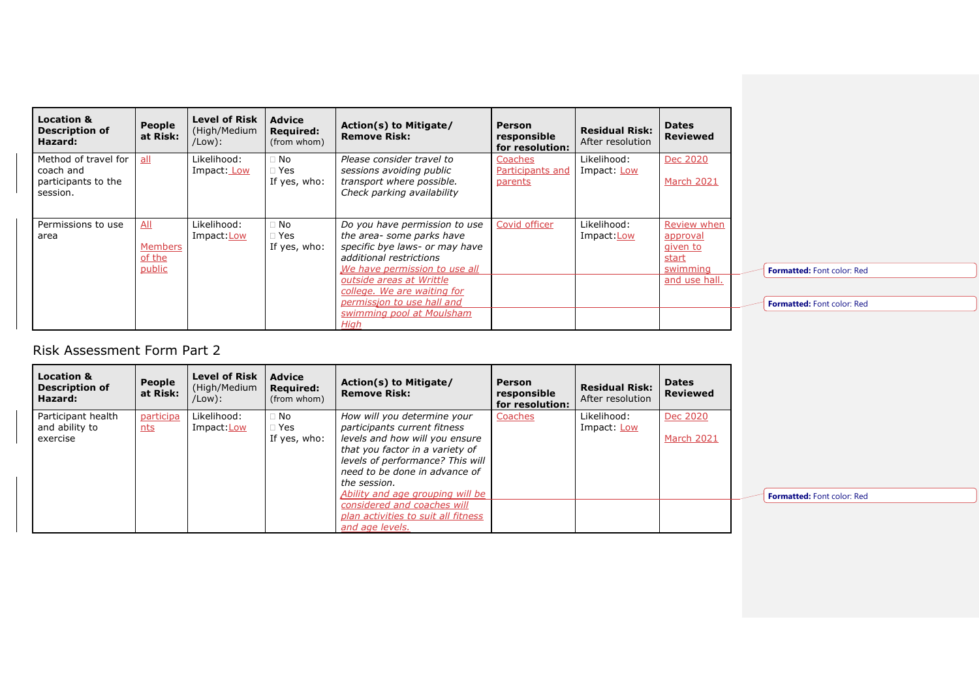| <b>Location &amp;</b><br><b>Description of</b><br>Hazard:            | People<br>at Risk:                        | Level of Risk<br>(High/Medium<br>/Low): | <b>Advice</b><br><b>Required:</b><br>(from whom) | Action(s) to Mitigate/<br><b>Remove Risk:</b>                                                                                                                                                                                                                                          | <b>Person</b><br>responsible<br>for resolution: | <b>Residual Risk:</b><br>After resolution | <b>Dates</b><br><b>Reviewed</b>                                           |
|----------------------------------------------------------------------|-------------------------------------------|-----------------------------------------|--------------------------------------------------|----------------------------------------------------------------------------------------------------------------------------------------------------------------------------------------------------------------------------------------------------------------------------------------|-------------------------------------------------|-------------------------------------------|---------------------------------------------------------------------------|
| Method of travel for<br>coach and<br>participants to the<br>session. | $all$                                     | Likelihood:<br>Impact: Low              | $\Box$ No<br>$\Box$ Yes<br>If yes, who:          | Please consider travel to<br>sessions avoiding public<br>transport where possible.<br>Check parking availability                                                                                                                                                                       | Coaches<br>Participants and<br>parents          | Likelihood:<br>Impact: Low                | Dec 2020<br>March 2021                                                    |
| Permissions to use<br>area                                           | All<br><b>Members</b><br>of the<br>public | Likelihood:<br>Impact:Low               | $\Box$ No<br>$\Box$ Yes<br>If yes, who:          | Do you have permission to use<br>the area- some parks have<br>specific bye laws- or may have<br>additional restrictions<br>We have permission to use all<br>outside areas at Writtle<br>college. We are waiting for<br>permissjon to use hall and<br>swimming pool at Moulsham<br>Hiah | Covid officer                                   | Likelihood:<br>Impact:Low                 | Review when<br>approval<br>given to<br>start<br>swimming<br>and use hall. |

**Formatted:** Font color: Red

**Formatted:** Font color: Red

## Risk Assessment Form Part 2

| <b>Location &amp;</b><br><b>Description of</b><br>Hazard: | People<br>at Risk: | <b>Level of Risk</b><br>(High/Medium<br>/Low): | <b>Advice</b><br><b>Required:</b><br>(from whom) | Action(s) to Mitigate/<br><b>Remove Risk:</b> | <b>Person</b><br>responsible<br>for resolution: | <b>Residual Risk:</b><br>After resolution | <b>Dates</b><br><b>Reviewed</b> |
|-----------------------------------------------------------|--------------------|------------------------------------------------|--------------------------------------------------|-----------------------------------------------|-------------------------------------------------|-------------------------------------------|---------------------------------|
| Participant health                                        | participa          | Likelihood:                                    | $\Box$ No                                        | How will you determine your                   | Coaches                                         | Likelihood:                               | Dec 2020                        |
| and ability to                                            | nts                | Impact:Low                                     | $\Box$ Yes                                       | participants current fitness                  |                                                 | Impact: Low                               |                                 |
| exercise                                                  |                    |                                                | If yes, who:                                     | levels and how will you ensure                |                                                 |                                           | <b>March 2021</b>               |
|                                                           |                    |                                                |                                                  | that you factor in a variety of               |                                                 |                                           |                                 |
|                                                           |                    |                                                |                                                  | levels of performance? This will              |                                                 |                                           |                                 |
|                                                           |                    |                                                |                                                  | need to be done in advance of                 |                                                 |                                           |                                 |
|                                                           |                    |                                                |                                                  | the session.                                  |                                                 |                                           |                                 |
|                                                           |                    |                                                |                                                  | Ability and age grouping will be              |                                                 |                                           |                                 |
|                                                           |                    |                                                |                                                  | considered and coaches will                   |                                                 |                                           |                                 |
|                                                           |                    |                                                |                                                  | plan activities to suit all fitness           |                                                 |                                           |                                 |
|                                                           |                    |                                                |                                                  | and age levels.                               |                                                 |                                           |                                 |

**Formatted:** Font color: Red